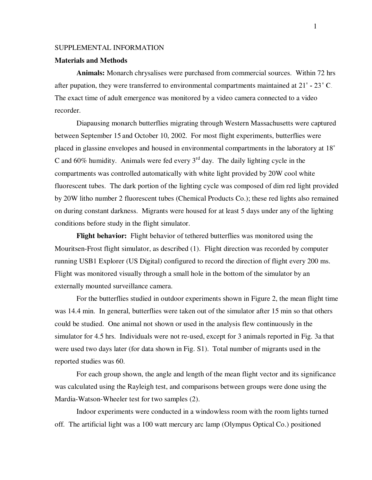## SUPPLEMENTAL INFORMATION

## **Materials and Methods**

**Animals:** Monarch chrysalises were purchased from commercial sources. Within 72 hrs after pupation, they were transferred to environmental compartments maintained at  $21^{\circ}$  -  $23^{\circ}$  C. The exact time of adult emergence was monitored by a video camera connected to a video recorder.

Diapausing monarch butterflies migrating through Western Massachusetts were captured between September 15 and October 10, 2002. For most flight experiments, butterflies were placed in glassine envelopes and housed in environmental compartments in the laboratory at 18 C and 60% humidity. Animals were fed every  $3<sup>rd</sup>$  day. The daily lighting cycle in the compartments was controlled automatically with white light provided by 20W cool white fluorescent tubes. The dark portion of the lighting cycle was composed of dim red light provided by 20W litho number 2 fluorescent tubes (Chemical Products Co.); these red lights also remained on during constant darkness. Migrants were housed for at least 5 days under any of the lighting conditions before study in the flight simulator.

**Flight behavior:** Flight behavior of tethered butterflies was monitored using the Mouritsen-Frost flight simulator, as described (1). Flight direction was recorded by computer running USB1 Explorer (US Digital) configured to record the direction of flight every 200 ms. Flight was monitored visually through a small hole in the bottom of the simulator by an externally mounted surveillance camera.

For the butterflies studied in outdoor experiments shown in Figure 2, the mean flight time was 14.4 min. In general, butterflies were taken out of the simulator after 15 min so that others could be studied. One animal not shown or used in the analysis flew continuously in the simulator for 4.5 hrs. Individuals were not re-used, except for 3 animals reported in Fig. 3a that were used two days later (for data shown in Fig. S1). Total number of migrants used in the reported studies was 60.

For each group shown, the angle and length of the mean flight vector and its significance was calculated using the Rayleigh test, and comparisons between groups were done using the Mardia-Watson-Wheeler test for two samples (2).

Indoor experiments were conducted in a windowless room with the room lights turned off. The artificial light was a 100 watt mercury arc lamp (Olympus Optical Co.) positioned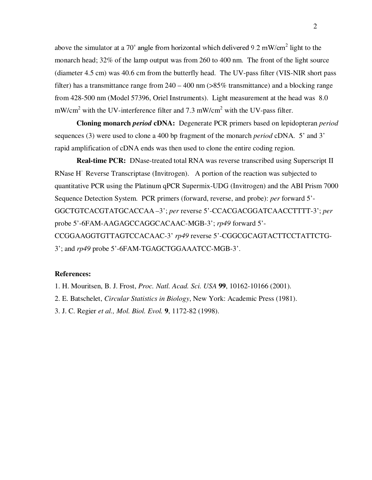above the simulator at a 70° angle from horizontal which delivered 9.2 mW/cm<sup>2</sup> light to the monarch head; 32% of the lamp output was from 260 to 400 nm. The front of the light source (diameter 4.5 cm) was 40.6 cm from the butterfly head. The UV-pass filter (VIS-NIR short pass filter) has a transmittance range from  $240 - 400$  nm  $(>\!\!85\!\%$  transmittance) and a blocking range from 428-500 nm (Model 57396, Oriel Instruments). Light measurement at the head was 8.0 mW/cm<sup>2</sup> with the UV-interference filter and 7.3 mW/cm<sup>2</sup> with the UV-pass filter.

**Cloning monarch** *period* **cDNA:** Degenerate PCR primers based on lepidopteran *period* sequences (3) were used to clone a 400 bp fragment of the monarch *period* cDNA. 5' and 3' rapid amplification of cDNA ends was then used to clone the entire coding region.

**Real-time PCR:** DNase-treated total RNA was reverse transcribed using Superscript II RNase H<sup>-</sup> Reverse Transcriptase (Invitrogen). A portion of the reaction was subjected to quantitative PCR using the Platinum qPCR Supermix-UDG (Invitrogen) and the ABI Prism 7000 Sequence Detection System. PCR primers (forward, reverse, and probe): *per* forward 5'- GGCTGTCACGTATGCACCAA –3'; *per* reverse 5'-CCACGACGGATCAACCTTTT-3'; *per* probe 5'-6FAM-AAGAGCCAGGCACAAC-MGB-3'; *rp49* forward 5'- CCGGAAGGTGTTAGTCCACAAC-3' *rp49* reverse 5'-CGGCGCAGTACTTCCTATTCTG-3'; and *rp49* probe 5'-6FAM-TGAGCTGGAAATCC-MGB-3'.

## **References:**

1. H. Mouritsen, B. J. Frost, *Proc. Natl. Acad. Sci. USA* **99**, 10162-10166 (2001).

2. E. Batschelet, *Circular Statistics in Biology*, New York: Academic Press (1981).

3. J. C. Regier *et al., Mol. Biol. Evol.* **9**, 1172-82 (1998).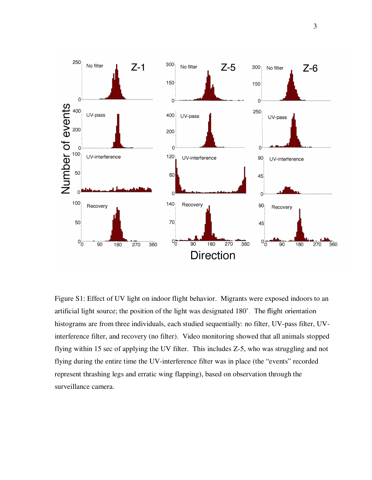

Figure S1: Effect of UV light on indoor flight behavior. Migrants were exposed indoors to an artificial light source; the position of the light was designated 180°. The flight orientation histograms are from three individuals, each studied sequentially: no filter, UV-pass filter, UVinterference filter, and recovery (no filter). Video monitoring showed that all animals stopped flying within 15 sec of applying the UV filter. This includes Z-5, who was struggling and not flying during the entire time the UV-interference filter was in place (the "events" recorded represent thrashing legs and erratic wing flapping), based on observation through the surveillance camera.